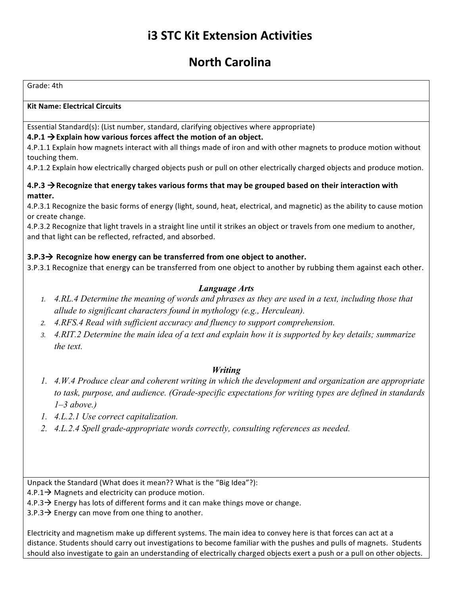# **i3 STC Kit Extension Activities**

# **North Carolina**

Grade: 4th

#### **Kit Name: Electrical Circuits**

Essential Standard(s): (List number, standard, clarifying objectives where appropriate)

#### $4.P.1 \rightarrow$  Explain how various forces affect the motion of an object.

4.P.1.1 Explain how magnets interact with all things made of iron and with other magnets to produce motion without touching them.

4.P.1.2 Explain how electrically charged objects push or pull on other electrically charged objects and produce motion.

#### 4.P.3  $\rightarrow$  Recognize that energy takes various forms that may be grouped based on their interaction with **matter.**

4.P.3.1 Recognize the basic forms of energy (light, sound, heat, electrical, and magnetic) as the ability to cause motion or create change.

4.P.3.2 Recognize that light travels in a straight line until it strikes an object or travels from one medium to another, and that light can be reflected, refracted, and absorbed.

#### **3.P.3** $\rightarrow$  Recognize how energy can be transferred from one object to another.

3.P.3.1 Recognize that energy can be transferred from one object to another by rubbing them against each other.

#### *Language Arts*

- *1. 4.RL.4 Determine the meaning of words and phrases as they are used in a text, including those that allude to significant characters found in mythology (e.g., Herculean).*
- *2. 4.RFS.4 Read with sufficient accuracy and fluency to support comprehension.*
- *3. 4.RIT.2 Determine the main idea of a text and explain how it is supported by key details; summarize the text.*

#### *Writing*

- *1. 4.W.4 Produce clear and coherent writing in which the development and organization are appropriate to task, purpose, and audience. (Grade-specific expectations for writing types are defined in standards 1–3 above.)*
- *1. 4.L.2.1 Use correct capitalization.*
- *2. 4.L.2.4 Spell grade-appropriate words correctly, consulting references as needed.*

Unpack the Standard (What does it mean?? What is the "Big Idea"?):

4.P.1 $\rightarrow$  Magnets and electricity can produce motion.

4.P.3  $\rightarrow$  Energy has lots of different forms and it can make things move or change.

 $3.P.3 \rightarrow$  Energy can move from one thing to another.

Electricity and magnetism make up different systems. The main idea to convey here is that forces can act at a distance. Students should carry out investigations to become familiar with the pushes and pulls of magnets. Students should also investigate to gain an understanding of electrically charged objects exert a push or a pull on other objects.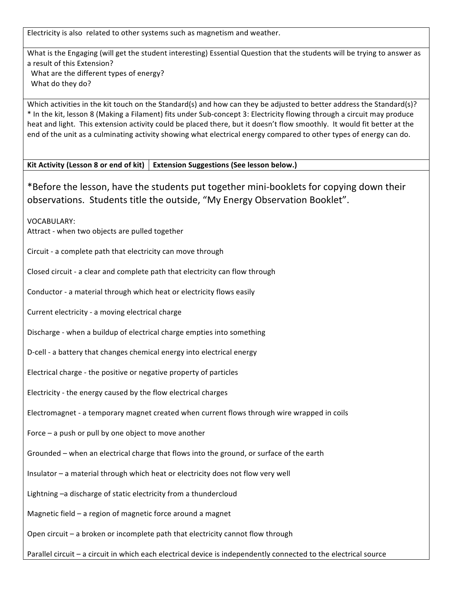Electricity is also related to other systems such as magnetism and weather.

What is the Engaging (will get the student interesting) Essential Question that the students will be trying to answer as a result of this Extension? What are the different types of energy? What do they do?

Which activities in the kit touch on the Standard(s) and how can they be adjusted to better address the Standard(s)? \* In the kit, lesson 8 (Making a Filament) fits under Sub-concept 3: Electricity flowing through a circuit may produce heat and light. This extension activity could be placed there, but it doesn't flow smoothly. It would fit better at the end of the unit as a culminating activity showing what electrical energy compared to other types of energy can do.

Kit Activity (Lesson 8 or end of kit) | Extension Suggestions (See lesson below.)

\*Before the lesson, have the students put together mini-booklets for copying down their observations. Students title the outside, "My Energy Observation Booklet".

VOCABULARY: Attract - when two objects are pulled together

Circuit - a complete path that electricity can move through

Closed circuit - a clear and complete path that electricity can flow through

Conductor - a material through which heat or electricity flows easily

Current electricity - a moving electrical charge

Discharge - when a buildup of electrical charge empties into something

D-cell - a battery that changes chemical energy into electrical energy

Electrical charge - the positive or negative property of particles

Electricity - the energy caused by the flow electrical charges

Electromagnet - a temporary magnet created when current flows through wire wrapped in coils

Force  $-$  a push or pull by one object to move another

Grounded – when an electrical charge that flows into the ground, or surface of the earth

Insulator  $-$  a material through which heat or electricity does not flow very well

Lightning  $-a$  discharge of static electricity from a thundercloud

Magnetic field  $-$  a region of magnetic force around a magnet

Open  $circ$ ircuit – a broken or incomplete path that electricity cannot flow through

Parallel circuit – a circuit in which each electrical device is independently connected to the electrical source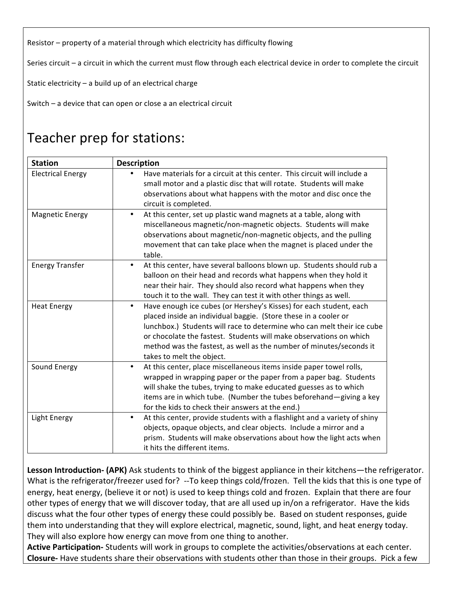Resistor – property of a material through which electricity has difficulty flowing

Series circuit  $-$  a circuit in which the current must flow through each electrical device in order to complete the circuit

Static electricity  $-$  a build up of an electrical charge

Switch  $-$  a device that can open or close a an electrical circuit

# Teacher prep for stations:

| <b>Station</b>           | <b>Description</b>                                                                                                                                                                                                                                                                                                                                                                                     |
|--------------------------|--------------------------------------------------------------------------------------------------------------------------------------------------------------------------------------------------------------------------------------------------------------------------------------------------------------------------------------------------------------------------------------------------------|
| <b>Electrical Energy</b> | Have materials for a circuit at this center. This circuit will include a<br>small motor and a plastic disc that will rotate. Students will make<br>observations about what happens with the motor and disc once the<br>circuit is completed.                                                                                                                                                           |
| <b>Magnetic Energy</b>   | At this center, set up plastic wand magnets at a table, along with<br>$\bullet$<br>miscellaneous magnetic/non-magnetic objects. Students will make<br>observations about magnetic/non-magnetic objects, and the pulling<br>movement that can take place when the magnet is placed under the<br>table.                                                                                                  |
| <b>Energy Transfer</b>   | At this center, have several balloons blown up. Students should rub a<br>$\bullet$<br>balloon on their head and records what happens when they hold it<br>near their hair. They should also record what happens when they<br>touch it to the wall. They can test it with other things as well.                                                                                                         |
| <b>Heat Energy</b>       | Have enough ice cubes (or Hershey's Kisses) for each student, each<br>$\bullet$<br>placed inside an individual baggie. (Store these in a cooler or<br>lunchbox.) Students will race to determine who can melt their ice cube<br>or chocolate the fastest. Students will make observations on which<br>method was the fastest, as well as the number of minutes/seconds it<br>takes to melt the object. |
| Sound Energy             | At this center, place miscellaneous items inside paper towel rolls,<br>$\bullet$<br>wrapped in wrapping paper or the paper from a paper bag. Students<br>will shake the tubes, trying to make educated guesses as to which<br>items are in which tube. (Number the tubes beforehand-giving a key<br>for the kids to check their answers at the end.)                                                   |
| Light Energy             | At this center, provide students with a flashlight and a variety of shiny<br>$\bullet$<br>objects, opaque objects, and clear objects. Include a mirror and a<br>prism. Students will make observations about how the light acts when<br>it hits the different items.                                                                                                                                   |

Lesson Introduction- (APK) Ask students to think of the biggest appliance in their kitchens—the refrigerator. What is the refrigerator/freezer used for? --To keep things cold/frozen. Tell the kids that this is one type of energy, heat energy, (believe it or not) is used to keep things cold and frozen. Explain that there are four other types of energy that we will discover today, that are all used up in/on a refrigerator. Have the kids discuss what the four other types of energy these could possibly be. Based on student responses, guide them into understanding that they will explore electrical, magnetic, sound, light, and heat energy today. They will also explore how energy can move from one thing to another.

Active Participation- Students will work in groups to complete the activities/observations at each center. **Closure**- Have students share their observations with students other than those in their groups. Pick a few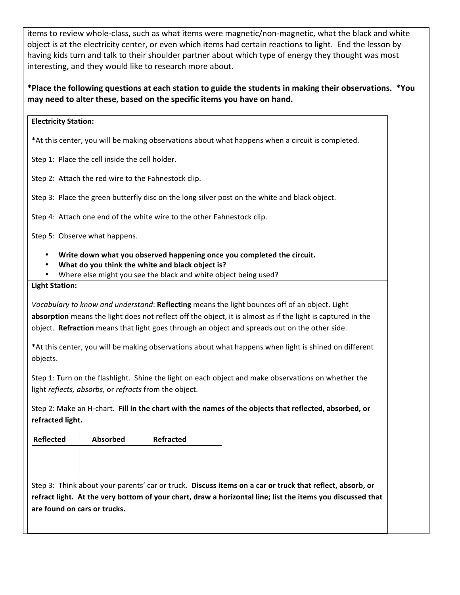items to review whole-class, such as what items were magnetic/non-magnetic, what the black and white object is at the electricity center, or even which items had certain reactions to light. End the lesson by having kids turn and talk to their shoulder partner about which type of energy they thought was most interesting, and they would like to research more about.

### \*Place the following questions at each station to guide the students in making their observations. \*You may need to alter these, based on the specific items you have on hand.

#### **Electricity Station:**

\*At this center, you will be making observations about what happens when a circuit is completed.

Step 1: Place the cell inside the cell holder.

Step 2: Attach the red wire to the Fahnestock clip.

Step 3: Place the green butterfly disc on the long silver post on the white and black object.

Step 4: Attach one end of the white wire to the other Fahnestock clip.

Step 5: Observe what happens.

- Write down what you observed happening once you completed the circuit.
- What do you think the white and black object is?
- Where else might you see the black and white object being used?

#### **Light Station:**

*Vocabulary to know and understand*: Reflecting means the light bounces off of an object. Light **absorption** means the light does not reflect off the object, it is almost as if the light is captured in the object. **Refraction** means that light goes through an object and spreads out on the other side.

\*At this center, you will be making observations about what happens when light is shined on different objects. 

Step 1: Turn on the flashlight. Shine the light on each object and make observations on whether the light *reflects, absorbs,* or *refracts* from the object.

Step 2: Make an H-chart. Fill in the chart with the names of the objects that reflected, absorbed, or **refracted light.**  $\overline{1}$ 

| <b>Reflected</b> | <b>Absorbed</b> | <b>Refracted</b> |
|------------------|-----------------|------------------|
|                  |                 |                  |
|                  |                 |                  |

Step 3: Think about your parents' car or truck. Discuss items on a car or truck that reflect, absorb, or refract light. At the very bottom of your chart, draw a horizontal line; list the items you discussed that are found on cars or trucks.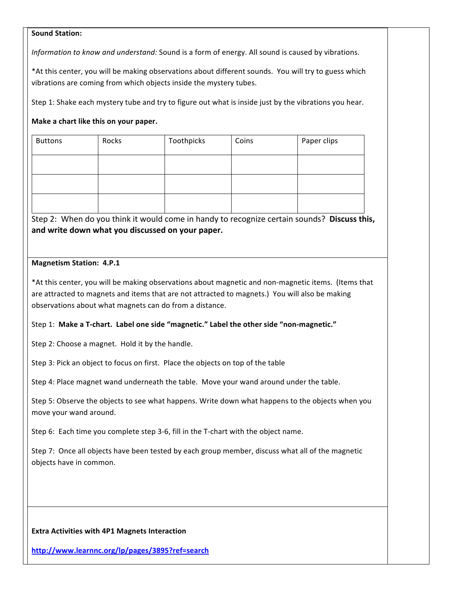#### **Sound Station:**

*Information to know and understand:* Sound is a form of energy. All sound is caused by vibrations.

\*At this center, you will be making observations about different sounds. You will try to guess which vibrations are coming from which objects inside the mystery tubes.

Step 1: Shake each mystery tube and try to figure out what is inside just by the vibrations you hear.

#### **Make a chart like this on your paper.**

| <b>Buttons</b> | Rocks | Toothpicks | Coins | Paper clips |
|----------------|-------|------------|-------|-------------|
|                |       |            |       |             |
|                |       |            |       |             |
|                |       |            |       |             |

Step 2: When do you think it would come in handy to recognize certain sounds? Discuss this, and write down what you discussed on your paper.

#### **Magnetism Station: 4.P.1**

\*At this center, you will be making observations about magnetic and non-magnetic items. (Items that are attracted to magnets and items that are not attracted to magnets.) You will also be making observations about what magnets can do from a distance.

#### Step 1: Make a T-chart. Label one side "magnetic." Label the other side "non-magnetic."

Step 2: Choose a magnet. Hold it by the handle.

Step 3: Pick an object to focus on first. Place the objects on top of the table

Step 4: Place magnet wand underneath the table. Move your wand around under the table.

Step 5: Observe the objects to see what happens. Write down what happens to the objects when you move your wand around.

Step 6: Each time you complete step 3-6, fill in the T-chart with the object name.

Step 7: Once all objects have been tested by each group member, discuss what all of the magnetic objects have in common.

#### **Extra Activities with 4P1 Magnets Interaction**

**http://www.learnnc.org/lp/pages/3895?ref=search**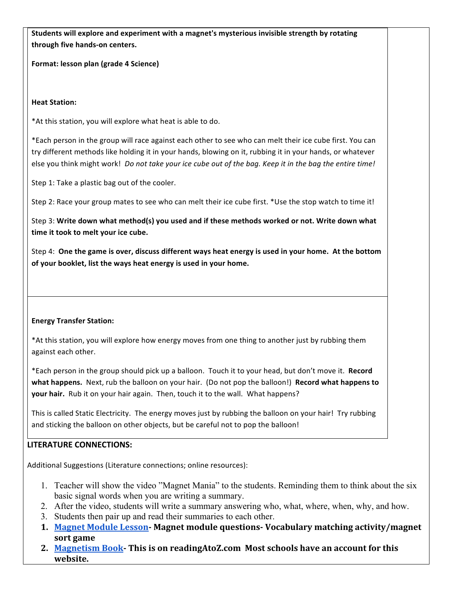Students will explore and experiment with a magnet's mysterious invisible strength by rotating **through five hands-on centers.**

**Format: lesson plan (grade 4 Science)** 

**Heat Station:** 

\*At this station, you will explore what heat is able to do.

\*Each person in the group will race against each other to see who can melt their ice cube first. You can try different methods like holding it in your hands, blowing on it, rubbing it in your hands, or whatever else you think might work! *Do not take your ice cube out of the bag. Keep it in the bag the entire time!* 

Step 1: Take a plastic bag out of the cooler.

Step 2: Race your group mates to see who can melt their ice cube first. \*Use the stop watch to time it!

Step 3: Write down what method(s) you used and if these methods worked or not. Write down what time it took to melt your ice cube.

Step 4: One the game is over, discuss different ways heat energy is used in your home. At the bottom of your booklet, list the ways heat energy is used in your home.

#### **Energy Transfer Station:**

\*At this station, you will explore how energy moves from one thing to another just by rubbing them against each other.

\*Each person in the group should pick up a balloon. Touch it to your head, but don't move it. Record **what happens.** Next, rub the balloon on your hair. (Do not pop the balloon!) **Record what happens to your hair.** Rub it on your hair again. Then, touch it to the wall. What happens?

This is called Static Electricity. The energy moves just by rubbing the balloon on your hair! Try rubbing and sticking the balloon on other objects, but be careful not to pop the balloon!

#### **LITERATURE CONNECTIONS:**

Additional Suggestions (Literature connections; online resources):

- 1. Teacher will show the video "Magnet Mania" to the students. Reminding them to think about the six basic signal words when you are writing a summary.
- 2. After the video, students will write a summary answering who, what, where, when, why, and how.
- 3. Students then pair up and read their summaries to each other.
- **1. Magnet Module Lesson- Magnet module questions- Vocabulary matching activity/magnet sort game**
- 2. Magnetism Book- This is on readingAtoZ.com Most schools have an account for this **website.**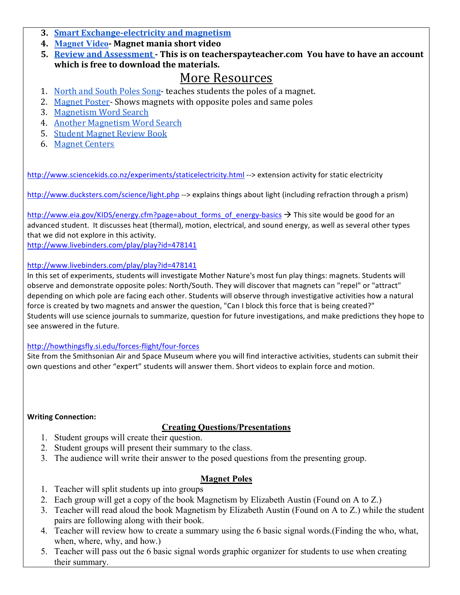- **3. Smart Exchange-electricity and magnetism**
- **4. Magnet Video- Magnet mania short video**
- **5. Review** and Assessment This is on teacherspayteacher.com You have to have an account **which is free to download the materials.**

## More Resources

- 1. North and South Poles Song- teaches students the poles of a magnet.
- 2. Magnet Poster- Shows magnets with opposite poles and same poles
- 3. Magnetism Word Search
- 4. Another Magnetism Word Search
- 5. Student Magnet Review Book
- 6. Magnet Centers

http://www.sciencekids.co.nz/experiments/staticelectricity.html --> extension activity for static electricity

http://www.ducksters.com/science/light.php --> explains things about light (including refraction through a prism)

http://www.eia.gov/KIDS/energy.cfm?page=about\_forms\_of\_energy-basics → This site would be good for an advanced student. It discusses heat (thermal), motion, electrical, and sound energy, as well as several other types that we did not explore in this activity.

http://www.livebinders.com/play/play?id=478141

#### http://www.livebinders.com/play/play?id=478141

In this set of experiments, students will investigate Mother Nature's most fun play things: magnets. Students will observe and demonstrate opposite poles: North/South. They will discover that magnets can "repel" or "attract" depending on which pole are facing each other. Students will observe through investigative activities how a natural force is created by two magnets and answer the question, "Can I block this force that is being created?" Students will use science journals to summarize, question for future investigations, and make predictions they hope to see answered in the future.

#### http://howthingsfly.si.edu/forces-flight/four-forces

Site from the Smithsonian Air and Space Museum where you will find interactive activities, students can submit their own questions and other "expert" students will answer them. Short videos to explain force and motion.

#### **Writing Connection:**

## **Creating Questions/Presentations**

- 1. Student groups will create their question.
- 2. Student groups will present their summary to the class.
- 3. The audience will write their answer to the posed questions from the presenting group.

## **Magnet Poles**

- 1. Teacher will split students up into groups
- 2. Each group will get a copy of the book Magnetism by Elizabeth Austin (Found on A to Z.)
- 3. Teacher will read aloud the book Magnetism by Elizabeth Austin (Found on A to Z.) while the student pairs are following along with their book.
- 4. Teacher will review how to create a summary using the 6 basic signal words.(Finding the who, what, when, where, why, and how.)
- 5. Teacher will pass out the 6 basic signal words graphic organizer for students to use when creating their summary.